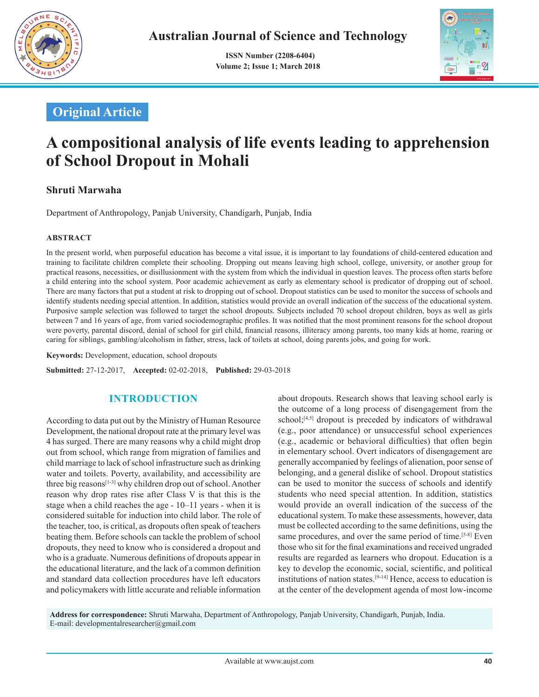

 **ISSN Number (2208-6404) Volume 2; Issue 1; March 2018**



# **Original Article**

# **A compositional analysis of life events leading to apprehension of School Dropout in Mohali**

# **Shruti Marwaha**

Department of Anthropology, Panjab University, Chandigarh, Punjab, India

#### **ABSTRACT**

In the present world, when purposeful education has become a vital issue, it is important to lay foundations of child-centered education and training to facilitate children complete their schooling. Dropping out means leaving high school, college, university, or another group for practical reasons, necessities, or disillusionment with the system from which the individual in question leaves. The process often starts before a child entering into the school system. Poor academic achievement as early as elementary school is predicator of dropping out of school. There are many factors that put a student at risk to dropping out of school. Dropout statistics can be used to monitor the success of schools and identify students needing special attention. In addition, statistics would provide an overall indication of the success of the educational system. Purposive sample selection was followed to target the school dropouts. Subjects included 70 school dropout children, boys as well as girls between 7 and 16 years of age, from varied sociodemographic profiles. It was notified that the most prominent reasons for the school dropout were poverty, parental discord, denial of school for girl child, financial reasons, illiteracy among parents, too many kids at home, rearing or caring for siblings, gambling/alcoholism in father, stress, lack of toilets at school, doing parents jobs, and going for work.

**Keywords:** Development, education, school dropouts

**Submitted:** 27-12-2017, **Accepted:** 02-02-2018, **Published:** 29-03-2018

## **INTRODUCTION**

According to data put out by the Ministry of Human Resource Development, the national dropout rate at the primary level was 4 has surged. There are many reasons why a child might drop out from school, which range from migration of families and child marriage to lack of school infrastructure such as drinking water and toilets. Poverty, availability, and accessibility are three big reasons<sup>[1-3]</sup> why children drop out of school. Another reason why drop rates rise after Class V is that this is the stage when a child reaches the age - 10–11 years - when it is considered suitable for induction into child labor. The role of the teacher, too, is critical, as dropouts often speak of teachers beating them. Before schools can tackle the problem of school dropouts, they need to know who is considered a dropout and who is a graduate. Numerous definitions of dropouts appear in the educational literature, and the lack of a common definition and standard data collection procedures have left educators and policymakers with little accurate and reliable information about dropouts. Research shows that leaving school early is the outcome of a long process of disengagement from the school;<sup>[4,5]</sup> dropout is preceded by indicators of withdrawal (e.g., poor attendance) or unsuccessful school experiences (e.g., academic or behavioral difficulties) that often begin in elementary school. Overt indicators of disengagement are generally accompanied by feelings of alienation, poor sense of belonging, and a general dislike of school. Dropout statistics can be used to monitor the success of schools and identify students who need special attention. In addition, statistics would provide an overall indication of the success of the educational system. To make these assessments, however, data must be collected according to the same definitions, using the same procedures, and over the same period of time.<sup>[5-8]</sup> Even those who sit for the final examinations and received ungraded results are regarded as learners who dropout. Education is a key to develop the economic, social, scientific, and political institutions of nation states.[9-14] Hence, access to education is at the center of the development agenda of most low-income

**Address for correspondence:** Shruti Marwaha, Department of Anthropology, Panjab University, Chandigarh, Punjab, India. E-mail: developmentalresearcher@gmail.com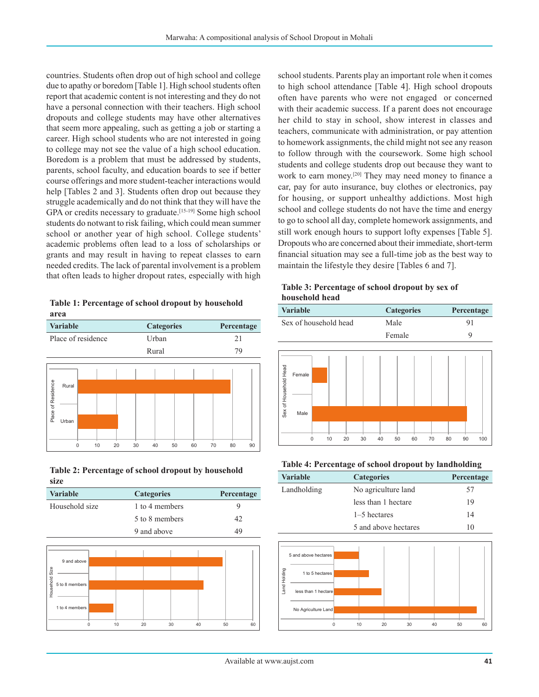countries. Students often drop out of high school and college due to apathy or boredom [Table 1]. High school students often report that academic content is not interesting and they do not have a personal connection with their teachers. High school dropouts and college students may have other alternatives that seem more appealing, such as getting a job or starting a career. High school students who are not interested in going to college may not see the value of a high school education. Boredom is a problem that must be addressed by students, parents, school faculty, and education boards to see if better course offerings and more student-teacher interactions would help [Tables 2 and 3]. Students often drop out because they struggle academically and do not think that they will have the GPA or credits necessary to graduate.<sup>[15-19]</sup> Some high school students do notwant to risk failing, which could mean summer school or another year of high school. College students' academic problems often lead to a loss of scholarships or grants and may result in having to repeat classes to earn needed credits. The lack of parental involvement is a problem that often leads to higher dropout rates, especially with high

**Table 1: Percentage of school dropout by household area**

| <b>Variable</b>    |                |          |    | <b>Categories</b> |       |    |    | Percentage |    |    |    |
|--------------------|----------------|----------|----|-------------------|-------|----|----|------------|----|----|----|
| Place of residence |                |          |    |                   | Urban |    |    |            | 21 |    |    |
|                    |                |          |    |                   | Rural |    |    |            | 79 |    |    |
| Place of Residence | Rural<br>Urban |          |    |                   |       |    |    |            |    |    |    |
|                    |                | $\Omega$ | 10 | 20                | 30    | 40 | 50 | 60         | 70 | 80 | 90 |

**Table 2: Percentage of school dropout by household size**

| <b>Variable</b> | <b>Categories</b> | Percentage |
|-----------------|-------------------|------------|
| Household size  | 1 to 4 members    | ч          |
|                 | 5 to 8 members    | 42         |
|                 | 9 and above       | 49         |



school students. Parents play an important role when it comes to high school attendance [Table 4]. High school dropouts often have parents who were not engaged or concerned with their academic success. If a parent does not encourage her child to stay in school, show interest in classes and teachers, communicate with administration, or pay attention to homework assignments, the child might not see any reason to follow through with the coursework. Some high school students and college students drop out because they want to work to earn money.<sup>[20]</sup> They may need money to finance a car, pay for auto insurance, buy clothes or electronics, pay for housing, or support unhealthy addictions. Most high school and college students do not have the time and energy to go to school all day, complete homework assignments, and still work enough hours to support lofty expenses [Table 5]. Dropouts who are concerned about their immediate, short-term financial situation may see a full-time job as the best way to maintain the lifestyle they desire [Tables 6 and 7].

| Table 3: Percentage of school dropout by sex of |  |  |
|-------------------------------------------------|--|--|
| household head                                  |  |  |

|                       | Variable              |   |    |    |    |      | <b>Categories</b> |    |    |    | Percentage |     |
|-----------------------|-----------------------|---|----|----|----|------|-------------------|----|----|----|------------|-----|
|                       | Sex of household head |   |    |    |    | Male |                   |    |    | 91 |            |     |
|                       |                       |   |    |    |    |      | Female            |    |    |    | 9          |     |
|                       |                       |   |    |    |    |      |                   |    |    |    |            |     |
| Sex of Household Head | Female                |   |    |    |    |      |                   |    |    |    |            |     |
|                       | Male                  |   |    |    |    |      |                   |    |    |    |            |     |
|                       |                       | 0 | 10 | 20 | 30 | 40   | 50                | 60 | 70 | 80 | 90         | 100 |

**Table 4: Percentage of school dropout by landholding**

| <b>Variable</b> | <b>Categories</b>    | <b>Percentage</b> |
|-----------------|----------------------|-------------------|
| Landholding     | No agriculture land  | 57                |
|                 | less than 1 hectare  | 19                |
|                 | 1–5 hectares         | 14                |
|                 | 5 and above hectares | 10                |

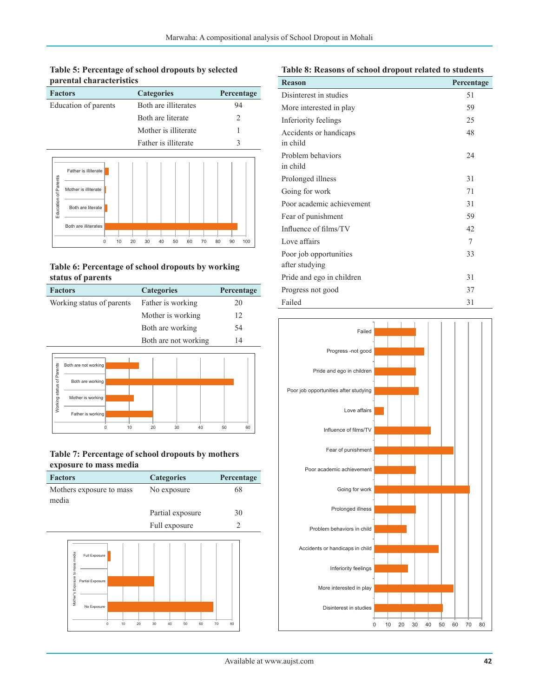**Table 5: Percentage of school dropouts by selected parental characteristics**

| <b>Factors</b>       | <b>Categories</b>    | Percentage |
|----------------------|----------------------|------------|
| Education of parents | Both are illiterates | 94         |
|                      | Both are literate    | 2          |
|                      | Mother is illiterate |            |
|                      | Father is illiterate | ζ          |



#### **Table 6: Percentage of school dropouts by working status of parents**

| <b>Factors</b>               | <b>Categories</b>    | Percentage |
|------------------------------|----------------------|------------|
| Working status of parents    | Father is working    | 20         |
|                              | Mother is working    | 12         |
|                              | Both are working     | 54         |
|                              | Both are not working | 14         |
| ents<br>Both are not working |                      |            |



#### **Table 7: Percentage of school dropouts by mothers exposure to mass media**

| <b>Factors</b>                                                                      |                |    | <b>Categories</b> |    |    |    | Percentage     |
|-------------------------------------------------------------------------------------|----------------|----|-------------------|----|----|----|----------------|
| Mothers exposure to mass<br>media                                                   |                |    | No exposure       |    |    |    | 68             |
|                                                                                     |                |    | Partial exposure  |    |    |    | 30             |
|                                                                                     |                |    | Full exposure     |    |    |    | $\mathfrak{D}$ |
| Mother's Exposure to mass media<br>Full Exposure<br>Partial Exposure<br>No Exposure | $\Omega$<br>10 | 20 | 30<br>40          | 50 | 60 | 70 | 80             |

#### **Table 8: Reasons of school dropout related to students**

| <b>Reason</b>             | Percentage |
|---------------------------|------------|
| Disinterest in studies    | 51         |
| More interested in play   | 59         |
| Inferiority feelings      | 25         |
| Accidents or handicaps    | 48         |
| in child                  |            |
| Problem behaviors         | 24         |
| in child                  |            |
| Prolonged illness         | 31         |
| Going for work            | 71         |
| Poor academic achievement | 31         |
| Fear of punishment        | 59         |
| Influence of films/TV     | 42         |
| Love affairs              | 7          |
| Poor job opportunities    | 33         |
| after studying            |            |
| Pride and ego in children | 31         |
| Progress not good         | 37         |
| Failed                    | 31         |

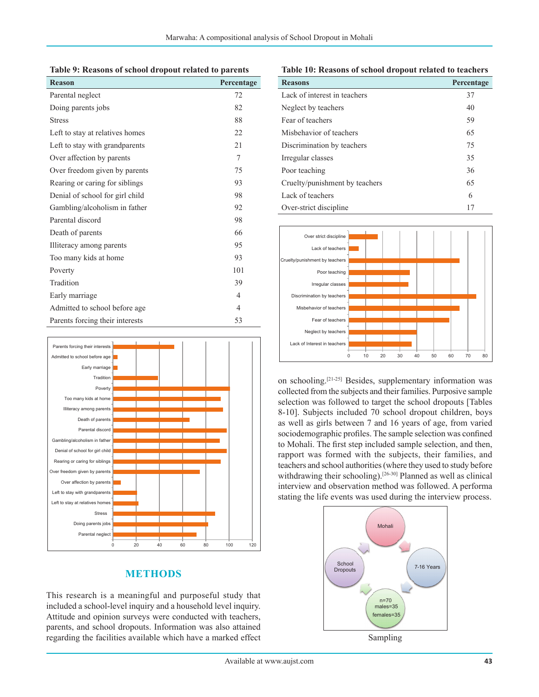|  |  |  |  |  | Table 9: Reasons of school dropout related to parents |
|--|--|--|--|--|-------------------------------------------------------|
|--|--|--|--|--|-------------------------------------------------------|

| <b>Reason</b>                   | Percentage     |
|---------------------------------|----------------|
| Parental neglect                | 72             |
| Doing parents jobs              | 82             |
| <b>Stress</b>                   | 88             |
| Left to stay at relatives homes | 22             |
| Left to stay with grandparents  | 21             |
| Over affection by parents       | 7              |
| Over freedom given by parents   | 75             |
| Rearing or caring for siblings  | 93             |
| Denial of school for girl child | 98             |
| Gambling/alcoholism in father   | 92             |
| Parental discord                | 98             |
| Death of parents                | 66             |
| Illiteracy among parents        | 95             |
| Too many kids at home           | 93             |
| Poverty                         | 101            |
| Tradition                       | 39             |
| Early marriage                  | 4              |
| Admitted to school before age.  | $\overline{4}$ |
| Parents forcing their interests | 53             |



# **METHODS**

This research is a meaningful and purposeful study that included a school-level inquiry and a household level inquiry. Attitude and opinion surveys were conducted with teachers, parents, and school dropouts. Information was also attained regarding the facilities available which have a marked effect

**Table 10: Reasons of school dropout related to teachers**

| <b>Reasons</b>                 | Percentage |
|--------------------------------|------------|
| Lack of interest in teachers   | 37         |
| Neglect by teachers            | 40         |
| Fear of teachers               | 59         |
| Mishehavior of teachers        | 65         |
| Discrimination by teachers     | 75         |
| Irregular classes              | 35         |
| Poor teaching                  | 36         |
| Cruelty/punishment by teachers | 65         |
| Lack of teachers               | 6          |
| Over-strict discipline         | 17         |



on schooling.[21-25] Besides, supplementary information was collected from the subjects and their families. Purposive sample selection was followed to target the school dropouts [Tables 8-10]. Subjects included 70 school dropout children, boys as well as girls between 7 and 16 years of age, from varied sociodemographic profiles. The sample selection was confined to Mohali. The first step included sample selection, and then, rapport was formed with the subjects, their families, and teachers and school authorities (where they used to study before withdrawing their schooling).<sup>[26-30]</sup> Planned as well as clinical interview and observation method was followed. A performa stating the life events was used during the interview process.



Sampling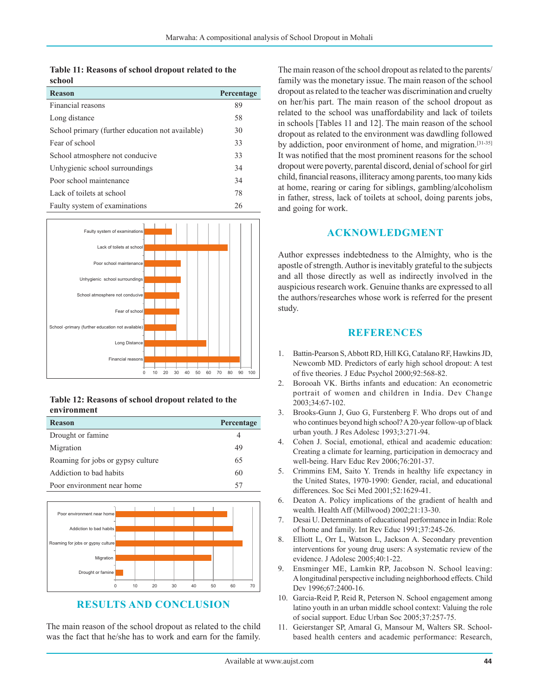**Table 11: Reasons of school dropout related to the school**

| <b>Reason</b>                                    | Percentage |
|--------------------------------------------------|------------|
| Financial reasons                                | 89         |
| Long distance                                    | 58         |
| School primary (further education not available) | 30         |
| Fear of school                                   | 33         |
| School atmosphere not conducive                  | 33         |
| Unhygienic school surroundings                   | 34         |
| Poor school maintenance                          | 34         |
| Lack of toilets at school                        | 78         |
| Faulty system of examinations                    | 26         |



| Table 12: Reasons of school dropout related to the |  |  |  |
|----------------------------------------------------|--|--|--|
| environment                                        |  |  |  |

| <b>Reason</b>                     | <b>Percentage</b> |
|-----------------------------------|-------------------|
| Drought or famine                 |                   |
| Migration                         | 49                |
| Roaming for jobs or gypsy culture | 65                |
| Addiction to bad habits           | 60                |
| Poor environment near home        | 57                |



## **RESULTS AND CONCLUSION**

The main reason of the school dropout as related to the child was the fact that he/she has to work and earn for the family. The main reason of the school dropout as related to the parents/ family was the monetary issue. The main reason of the school dropout as related to the teacher was discrimination and cruelty on her/his part. The main reason of the school dropout as related to the school was unaffordability and lack of toilets in schools [Tables 11 and 12]. The main reason of the school dropout as related to the environment was dawdling followed by addiction, poor environment of home, and migration.[31-35] It was notified that the most prominent reasons for the school dropout were poverty, parental discord, denial of school for girl child, financial reasons, illiteracy among parents, too many kids at home, rearing or caring for siblings, gambling/alcoholism in father, stress, lack of toilets at school, doing parents jobs, and going for work.

#### **ACKNOWLEDGMENT**

Author expresses indebtedness to the Almighty, who is the apostle of strength. Author is inevitably grateful to the subjects and all those directly as well as indirectly involved in the auspicious research work. Genuine thanks are expressed to all the authors/researches whose work is referred for the present study.

#### **REFERENCES**

- 1. Battin-Pearson S, Abbott RD, Hill KG, Catalano RF, HawkinsJD, Newcomb MD. Predictors of early high school dropout: A test of five theories. J Educ Psychol 2000;92:568-82.
- 2. Borooah VK. Births infants and education: An econometric portrait of women and children in India. Dev Change 2003;34:67-102.
- 3. Brooks-Gunn J, Guo G, Furstenberg F. Who drops out of and who continues beyond high school? A 20-year follow-up of black urban youth. J Res Adolesc 1993;3:271-94.
- 4. Cohen J. Social, emotional, ethical and academic education: Creating a climate for learning, participation in democracy and well-being. Harv Educ Rev 2006;76:201-37.
- 5. Crimmins EM, Saito Y. Trends in healthy life expectancy in the United States, 1970-1990: Gender, racial, and educational differences. Soc Sci Med 2001;52:1629-41.
- 6. Deaton A. Policy implications of the gradient of health and wealth. Health Aff (Millwood) 2002;21:13-30.
- 7. Desai U. Determinants of educational performance in India: Role of home and family. Int Rev Educ 1991;37:245-26.
- 8. Elliott L, Orr L, Watson L, Jackson A. Secondary prevention interventions for young drug users: A systematic review of the evidence. J Adolesc 2005;40:1-22.
- 9. Ensminger ME, Lamkin RP, Jacobson N. School leaving: Alongitudinal perspective including neighborhood effects. Child Dev 1996:67:2400-16.
- 10. Garcia-Reid P, Reid R, Peterson N. School engagement among latino youth in an urban middle school context: Valuing the role of social support. Educ Urban Soc 2005;37:257-75.
- 11. Geierstanger SP, Amaral G, Mansour M, Walters SR. Schoolbased health centers and academic performance: Research,